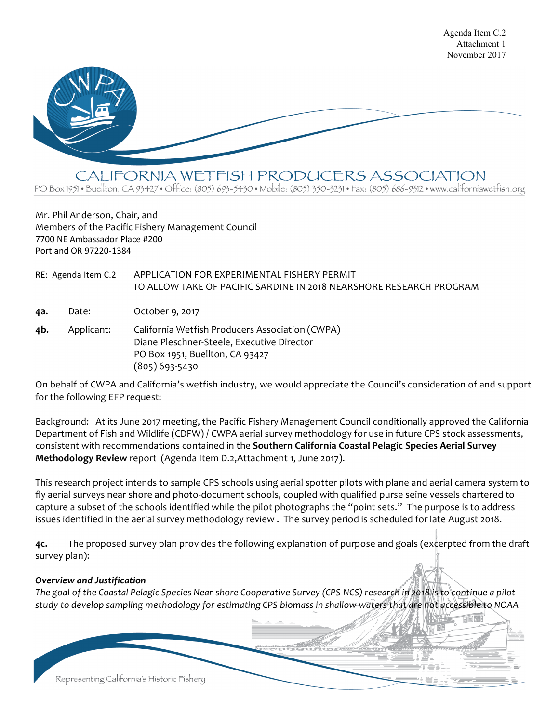

CALIFORNIA WETFISH PRODUCERS ASSOCIATION

PO Box 1951 • Buellton, CA 93427 • Office: (805) 693-5430 • Mobile: (805) 350-3231 • Fax: (805) 686-9312 • www.californiawetfish.org

Mr. Phil Anderson, Chair, and Members of the Pacific Fishery Management Council 7700 NE Ambassador Place #200 Portland OR 97220-1384

RE: Agenda Item C.2 APPLICATION FOR EXPERIMENTAL FISHERY PERMIT TO ALLOW TAKE OF PACIFIC SARDINE IN 2018 NEARSHORE RESEARCH PROGRAM **4a.** Date: October 9, 2017 **4b.** Applicant: California Wetfish Producers Association (CWPA) Diane Pleschner-Steele, Executive Director

PO Box 1951, Buellton, CA 93427 (805) 693-5430

On behalf of CWPA and California's wetfish industry, we would appreciate the Council's consideration of and support for the following EFP request:

Background: At its June 2017 meeting, the Pacific Fishery Management Council conditionally approved the California Department of Fish and Wildlife (CDFW) / CWPA aerial survey methodology for use in future CPS stock assessments, consistent with recommendations contained in the **Southern California Coastal Pelagic Species Aerial Survey Methodology Review** report (Agenda Item D.2,Attachment 1, June 2017).

This research project intends to sample CPS schools using aerial spotter pilots with plane and aerial camera system to fly aerial surveys near shore and photo-document schools, coupled with qualified purse seine vessels chartered to capture a subset of the schools identified while the pilot photographs the "point sets." The purpose is to address issues identified in the aerial survey methodology review . The survey period is scheduled for late August 2018.

**4c.** The proposed survey plan provides the following explanation of purpose and goals (excerpted from the draft survey plan):

## *Overview and Justification*

*The goal of the Coastal Pelagic Species Near-shore Cooperative Survey (CPS-NCS) research in 2018 is to continue a pilot study to develop sampling methodology for estimating CPS biomass in shallow waters that are not accessible to NOAA*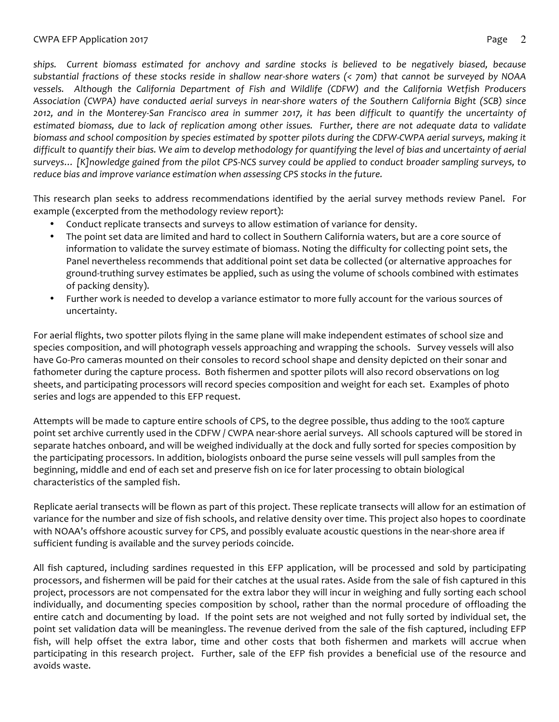*ships. Current biomass estimated for anchovy and sardine stocks is believed to be negatively biased, because substantial fractions of these stocks reside in shallow near-shore waters (< 70m) that cannot be surveyed by NOAA vessels. Although the California Department of Fish and Wildlife (CDFW) and the California Wetfish Producers Association (CWPA) have conducted aerial surveys in near-shore waters of the Southern California Bight (SCB) since 2012, and in the Monterey-San Francisco area in summer 2017, it has been difficult to quantify the uncertainty of estimated biomass, due to lack of replication among other issues. Further, there are not adequate data to validate biomass and school composition by species estimated by spotter pilots during the CDFW-CWPA aerial surveys, making it difficult to quantify their bias. We aim to develop methodology for quantifying the level of bias and uncertainty of aerial surveys… [K]nowledge gained from the pilot CPS-NCS survey could be applied to conduct broader sampling surveys, to reduce bias and improve variance estimation when assessing CPS stocks in the future.*

This research plan seeks to address recommendations identified by the aerial survey methods review Panel. For example (excerpted from the methodology review report):

- Conduct replicate transects and surveys to allow estimation of variance for density.
- The point set data are limited and hard to collect in Southern California waters, but are a core source of information to validate the survey estimate of biomass. Noting the difficulty for collecting point sets, the Panel nevertheless recommends that additional point set data be collected (or alternative approaches for ground-truthing survey estimates be applied, such as using the volume of schools combined with estimates of packing density).
- Further work is needed to develop a variance estimator to more fully account for the various sources of uncertainty.

For aerial flights, two spotter pilots flying in the same plane will make independent estimates of school size and species composition, and will photograph vessels approaching and wrapping the schools. Survey vessels will also have Go-Pro cameras mounted on their consoles to record school shape and density depicted on their sonar and fathometer during the capture process. Both fishermen and spotter pilots will also record observations on log sheets, and participating processors will record species composition and weight for each set. Examples of photo series and logs are appended to this EFP request.

Attempts will be made to capture entire schools of CPS, to the degree possible, thus adding to the 100% capture point set archive currently used in the CDFW / CWPA near-shore aerial surveys. All schools captured will be stored in separate hatches onboard, and will be weighed individually at the dock and fully sorted for species composition by the participating processors. In addition, biologists onboard the purse seine vessels will pull samples from the beginning, middle and end of each set and preserve fish on ice for later processing to obtain biological characteristics of the sampled fish.

Replicate aerial transects will be flown as part of this project. These replicate transects will allow for an estimation of variance for the number and size of fish schools, and relative density over time. This project also hopes to coordinate with NOAA's offshore acoustic survey for CPS, and possibly evaluate acoustic questions in the near-shore area if sufficient funding is available and the survey periods coincide.

All fish captured, including sardines requested in this EFP application, will be processed and sold by participating processors, and fishermen will be paid for their catches at the usual rates. Aside from the sale of fish captured in this project, processors are not compensated for the extra labor they will incur in weighing and fully sorting each school individually, and documenting species composition by school, rather than the normal procedure of offloading the entire catch and documenting by load. If the point sets are not weighed and not fully sorted by individual set, the point set validation data will be meaningless. The revenue derived from the sale of the fish captured, including EFP fish, will help offset the extra labor, time and other costs that both fishermen and markets will accrue when participating in this research project. Further, sale of the EFP fish provides a beneficial use of the resource and avoids waste.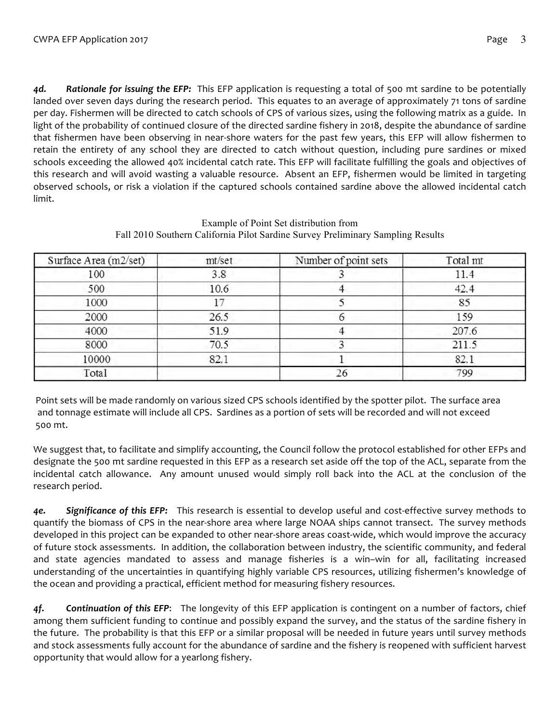*4d. Rationale for issuing the EFP:* This EFP application is requesting a total of 500 mt sardine to be potentially landed over seven days during the research period. This equates to an average of approximately 71 tons of sardine per day. Fishermen will be directed to catch schools of CPS of various sizes, using the following matrix as a guide. In light of the probability of continued closure of the directed sardine fishery in 2018, despite the abundance of sardine that fishermen have been observing in near-shore waters for the past few years, this EFP will allow fishermen to retain the entirety of any school they are directed to catch without question, including pure sardines or mixed schools exceeding the allowed 40% incidental catch rate. This EFP will facilitate fulfilling the goals and objectives of this research and will avoid wasting a valuable resource. Absent an EFP, fishermen would be limited in targeting observed schools, or risk a violation if the captured schools contained sardine above the allowed incidental catch limit.

| Surface Area (m2/set) | mt/set | Number of point sets | Total mt |
|-----------------------|--------|----------------------|----------|
| 100                   | 3.8    |                      | 11.4     |
| 500                   | 10.6   |                      | 42.4     |
| 1000                  | 17     |                      | 85       |
| 2000                  | 26.5   |                      | 159      |
| 4000                  | 51.9   |                      | 207.6    |
| 8000                  | 70.5   |                      | 211.5    |
| 10000                 | 82.1   |                      | 82.1     |
| Total                 |        | 26                   | 799      |

## Example of Point Set distribution from Fall 2010 Southern California Pilot Sardine Survey Preliminary Sampling Results

Point sets will be made randomly on various sized CPS schools identified by the spotter pilot. The surface area and tonnage estimate will include all CPS. Sardines as a portion of sets will be recorded and will not exceed 500 mt.

We suggest that, to facilitate and simplify accounting, the Council follow the protocol established for other EFPs and designate the 500 mt sardine requested in this EFP as a research set aside off the top of the ACL, separate from the incidental catch allowance. Any amount unused would simply roll back into the ACL at the conclusion of the research period.

*4e. Significance of this EFP:* This research is essential to develop useful and cost-effective survey methods to quantify the biomass of CPS in the near-shore area where large NOAA ships cannot transect. The survey methods developed in this project can be expanded to other near-shore areas coast-wide, which would improve the accuracy of future stock assessments. In addition, the collaboration between industry, the scientific community, and federal and state agencies mandated to assess and manage fisheries is a win–win for all, facilitating increased understanding of the uncertainties in quantifying highly variable CPS resources, utilizing fishermen's knowledge of the ocean and providing a practical, efficient method for measuring fishery resources.

*4f. Continuation of this EFP*: The longevity of this EFP application is contingent on a number of factors, chief among them sufficient funding to continue and possibly expand the survey, and the status of the sardine fishery in the future. The probability is that this EFP or a similar proposal will be needed in future years until survey methods and stock assessments fully account for the abundance of sardine and the fishery is reopened with sufficient harvest opportunity that would allow for a yearlong fishery.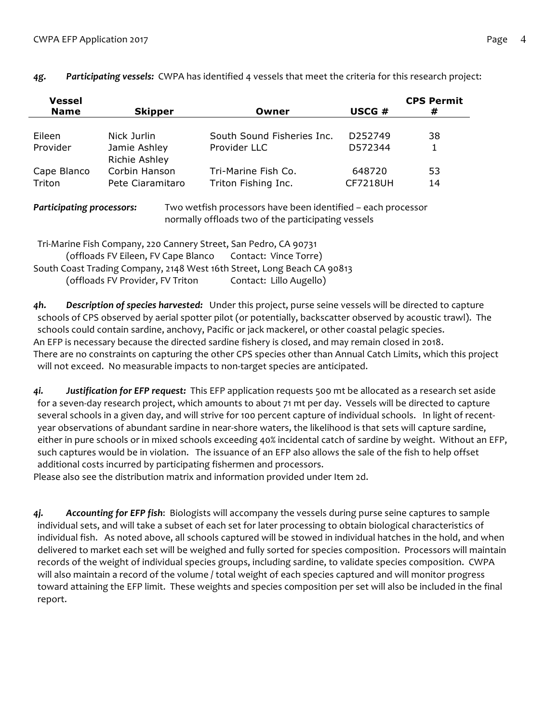| Vessel      |                  |                            |                     | <b>CPS Permit</b> |
|-------------|------------------|----------------------------|---------------------|-------------------|
| <b>Name</b> | <b>Skipper</b>   | Owner                      | USCG #              | #                 |
|             |                  |                            |                     |                   |
| Eileen      | Nick Jurlin      | South Sound Fisheries Inc. | D <sub>252749</sub> | 38                |
| Provider    | Jamie Ashley     | Provider LLC               | D572344             |                   |
|             | Richie Ashley    |                            |                     |                   |
| Cape Blanco | Corbin Hanson    | Tri-Marine Fish Co.        | 648720              | 53                |
| Triton      | Pete Ciaramitaro | Triton Fishing Inc.        | <b>CF7218UH</b>     | 14                |
|             |                  |                            |                     |                   |

## *4g. Participating vessels:* CWPA has identified 4 vessels that meet the criteria for this research project:

*Participating processors:* Two wetfish processors have been identified – each processor normally offloads two of the participating vessels

| Tri-Marine Fish Company, 220 Cannery Street, San Pedro, CA 90731        |                         |
|-------------------------------------------------------------------------|-------------------------|
| (offloads FV Eileen, FV Cape Blanco Contact: Vince Torre)               |                         |
| South Coast Trading Company, 2148 West 16th Street, Long Beach CA 90813 |                         |
| (offloads FV Provider, FV Triton                                        | Contact: Lillo Augello) |

*4h. Description of species harvested:* Under this project, purse seine vessels will be directed to capture schools of CPS observed by aerial spotter pilot (or potentially, backscatter observed by acoustic trawl). The schools could contain sardine, anchovy, Pacific or jack mackerel, or other coastal pelagic species. An EFP is necessary because the directed sardine fishery is closed, and may remain closed in 2018. There are no constraints on capturing the other CPS species other than Annual Catch Limits, which this project will not exceed. No measurable impacts to non-target species are anticipated.

*4i. Justification for EFP request:* This EFP application requests 500 mt be allocated as a research set aside for a seven-day research project, which amounts to about 71 mt per day. Vessels will be directed to capture several schools in a given day, and will strive for 100 percent capture of individual schools. In light of recentyear observations of abundant sardine in near-shore waters, the likelihood is that sets will capture sardine, either in pure schools or in mixed schools exceeding 40% incidental catch of sardine by weight. Without an EFP, such captures would be in violation. The issuance of an EFP also allows the sale of the fish to help offset additional costs incurred by participating fishermen and processors.

Please also see the distribution matrix and information provided under Item 2d.

*4j. Accounting for EFP fish*: Biologists will accompany the vessels during purse seine captures to sample individual sets, and will take a subset of each set for later processing to obtain biological characteristics of individual fish. As noted above, all schools captured will be stowed in individual hatches in the hold, and when delivered to market each set will be weighed and fully sorted for species composition. Processors will maintain records of the weight of individual species groups, including sardine, to validate species composition. CWPA will also maintain a record of the volume / total weight of each species captured and will monitor progress toward attaining the EFP limit. These weights and species composition per set will also be included in the final report.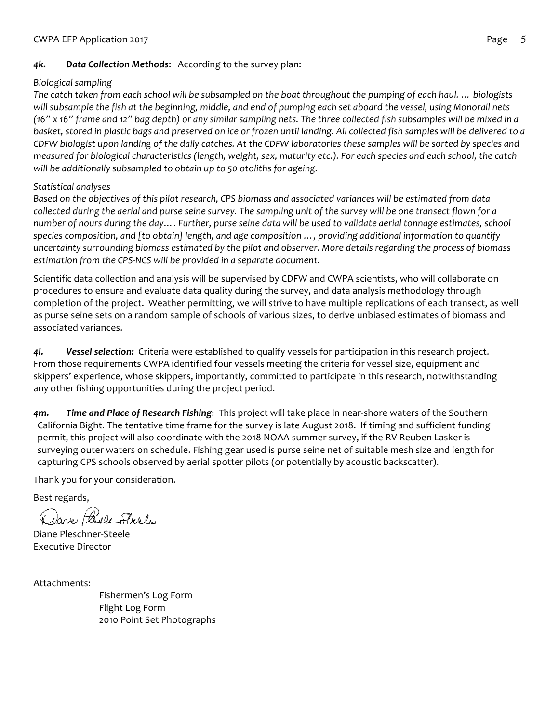# *4k. Data Collection Methods*: According to the survey plan:

## *Biological sampling*

*The catch taken from each school will be subsampled on the boat throughout the pumping of each haul. … biologists will subsample the fish at the beginning, middle, and end of pumping each set aboard the vessel, using Monorail nets (16" x 16" frame and 12" bag depth) or any similar sampling nets. The three collected fish subsamples will be mixed in a basket, stored in plastic bags and preserved on ice or frozen until landing. All collected fish samples will be delivered to a CDFW biologist upon landing of the daily catches. At the CDFW laboratories these samples will be sorted by species and measured for biological characteristics (length, weight, sex, maturity etc.). For each species and each school, the catch will be additionally subsampled to obtain up to 50 otoliths for ageing.* 

# *Statistical analyses*

*Based on the objectives of this pilot research, CPS biomass and associated variances will be estimated from data collected during the aerial and purse seine survey. The sampling unit of the survey will be one transect flown for a number of hours during the day…. Further, purse seine data will be used to validate aerial tonnage estimates, school species composition, and [to obtain] length, and age composition …, providing additional information to quantify uncertainty surrounding biomass estimated by the pilot and observer. More details regarding the process of biomass estimation from the CPS-NCS will be provided in a separate document.* 

Scientific data collection and analysis will be supervised by CDFW and CWPA scientists, who will collaborate on procedures to ensure and evaluate data quality during the survey, and data analysis methodology through completion of the project. Weather permitting, we will strive to have multiple replications of each transect, as well as purse seine sets on a random sample of schools of various sizes, to derive unbiased estimates of biomass and associated variances.

*4l. Vessel selection:* Criteria were established to qualify vessels for participation in this research project. From those requirements CWPA identified four vessels meeting the criteria for vessel size, equipment and skippers' experience, whose skippers, importantly, committed to participate in this research, notwithstanding any other fishing opportunities during the project period.

*4m. Time and Place of Research Fishing*: This project will take place in near-shore waters of the Southern California Bight. The tentative time frame for the survey is late August 2018. If timing and sufficient funding permit, this project will also coordinate with the 2018 NOAA summer survey, if the RV Reuben Lasker is surveying outer waters on schedule. Fishing gear used is purse seine net of suitable mesh size and length for capturing CPS schools observed by aerial spotter pilots (or potentially by acoustic backscatter).

Thank you for your consideration.

Best regards,

Jave thele Steels

Diane Pleschner-Steele Executive Director

Attachments:

Fishermen's Log Form Flight Log Form 2010 Point Set Photographs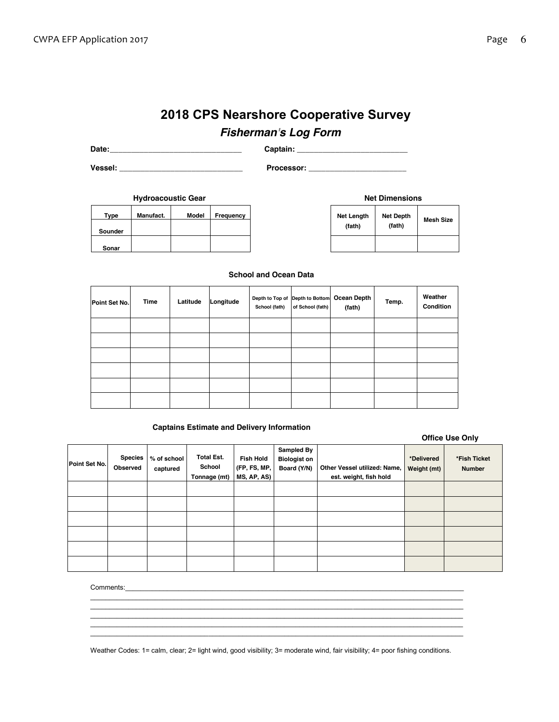# **2018 CPS Nearshore Cooperative Survey**

# *Fisherman's Log Form*

**Date:\_\_\_\_\_\_\_\_\_\_\_\_\_\_\_\_\_\_\_\_\_\_\_\_\_\_\_\_\_\_\_ Captain: \_\_\_\_\_\_\_\_\_\_\_\_\_\_\_\_\_\_\_\_\_\_\_\_\_\_**

**Vessel: \_\_\_\_\_\_\_\_\_\_\_\_\_\_\_\_\_\_\_\_\_\_\_\_\_\_\_\_\_ Processor: \_\_\_\_\_\_\_\_\_\_\_\_\_\_\_\_\_\_\_\_\_\_\_**

| <b>Hydroacoustic Gear</b> |           |              |           |  |
|---------------------------|-----------|--------------|-----------|--|
| Type                      | Manufact. | <b>Model</b> | Frequency |  |
| Sounder                   |           |              |           |  |
| Sonar                     |           |              |           |  |

| <b>Net Dimensions</b>       |                            |                  |  |  |  |  |  |  |
|-----------------------------|----------------------------|------------------|--|--|--|--|--|--|
| <b>Net Length</b><br>(fath) | <b>Net Depth</b><br>(fath) | <b>Mesh Size</b> |  |  |  |  |  |  |
|                             |                            |                  |  |  |  |  |  |  |

#### **School and Ocean Data**

| Point Set No. | <b>Time</b> | Latitude | Longitude | School (fath) | Depth to Top of Depth to Bottom<br>of School (fath) | Ocean Depth<br>(fath) | Temp. | Weather<br>Condition |
|---------------|-------------|----------|-----------|---------------|-----------------------------------------------------|-----------------------|-------|----------------------|
|               |             |          |           |               |                                                     |                       |       |                      |
|               |             |          |           |               |                                                     |                       |       |                      |
|               |             |          |           |               |                                                     |                       |       |                      |
|               |             |          |           |               |                                                     |                       |       |                      |
|               |             |          |           |               |                                                     |                       |       |                      |
|               |             |          |           |               |                                                     |                       |       |                      |

#### **Captains Estimate and Delivery Information**

| <b>Office Use Only</b> |  |  |
|------------------------|--|--|
|------------------------|--|--|

| Point Set No. | <b>Species</b><br>Observed | % of school<br>captured | <b>Total Est.</b><br>School<br>Tonnage (mt) | <b>Fish Hold</b><br>(FP, FS, MP,<br>MS, AP, AS) | Sampled By<br><b>Biologist on</b><br>Board (Y/N) | Other Vessel utilized: Name,<br>est. weight, fish hold | *Delivered<br>Weight (mt) | *Fish Ticket<br><b>Number</b> |
|---------------|----------------------------|-------------------------|---------------------------------------------|-------------------------------------------------|--------------------------------------------------|--------------------------------------------------------|---------------------------|-------------------------------|
|               |                            |                         |                                             |                                                 |                                                  |                                                        |                           |                               |
|               |                            |                         |                                             |                                                 |                                                  |                                                        |                           |                               |
|               |                            |                         |                                             |                                                 |                                                  |                                                        |                           |                               |
|               |                            |                         |                                             |                                                 |                                                  |                                                        |                           |                               |
|               |                            |                         |                                             |                                                 |                                                  |                                                        |                           |                               |
|               |                            |                         |                                             |                                                 |                                                  |                                                        |                           |                               |

Comments:

Weather Codes: 1= calm, clear; 2= light wind, good visibility; 3= moderate wind, fair visibility; 4= poor fishing conditions.

 $\mathcal{L}_\mathcal{L} = \{ \mathcal{L}_\mathcal{L} = \{ \mathcal{L}_\mathcal{L} = \{ \mathcal{L}_\mathcal{L} = \{ \mathcal{L}_\mathcal{L} = \{ \mathcal{L}_\mathcal{L} = \{ \mathcal{L}_\mathcal{L} = \{ \mathcal{L}_\mathcal{L} = \{ \mathcal{L}_\mathcal{L} = \{ \mathcal{L}_\mathcal{L} = \{ \mathcal{L}_\mathcal{L} = \{ \mathcal{L}_\mathcal{L} = \{ \mathcal{L}_\mathcal{L} = \{ \mathcal{L}_\mathcal{L} = \{ \mathcal{L}_\mathcal{$  $\mathcal{L}_\mathcal{L} = \mathcal{L}_\mathcal{L} = \mathcal{L}_\mathcal{L} = \mathcal{L}_\mathcal{L} = \mathcal{L}_\mathcal{L} = \mathcal{L}_\mathcal{L} = \mathcal{L}_\mathcal{L} = \mathcal{L}_\mathcal{L} = \mathcal{L}_\mathcal{L} = \mathcal{L}_\mathcal{L} = \mathcal{L}_\mathcal{L} = \mathcal{L}_\mathcal{L} = \mathcal{L}_\mathcal{L} = \mathcal{L}_\mathcal{L} = \mathcal{L}_\mathcal{L} = \mathcal{L}_\mathcal{L} = \mathcal{L}_\mathcal{L}$  $\ldots \ldots \ldots \ldots \ldots$  $\mathcal{L}_\mathcal{L} = \{ \mathcal{L}_\mathcal{L} = \{ \mathcal{L}_\mathcal{L} = \{ \mathcal{L}_\mathcal{L} = \{ \mathcal{L}_\mathcal{L} = \{ \mathcal{L}_\mathcal{L} = \{ \mathcal{L}_\mathcal{L} = \{ \mathcal{L}_\mathcal{L} = \{ \mathcal{L}_\mathcal{L} = \{ \mathcal{L}_\mathcal{L} = \{ \mathcal{L}_\mathcal{L} = \{ \mathcal{L}_\mathcal{L} = \{ \mathcal{L}_\mathcal{L} = \{ \mathcal{L}_\mathcal{L} = \{ \mathcal{L}_\mathcal{$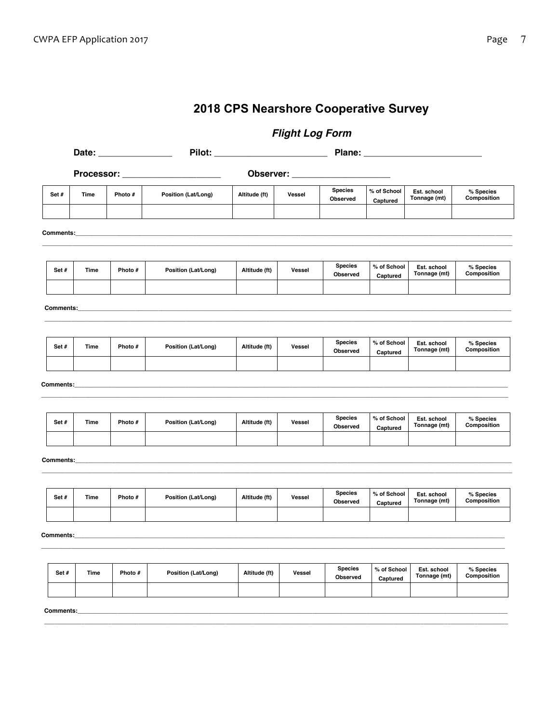# **2018 CPS Nearshore Cooperative Survey**

 *Flight Log Form* 

|                  |             |         | Processor: ________________________ | Observer: ______ |        |                            |                         |                             |                          |  |  |
|------------------|-------------|---------|-------------------------------------|------------------|--------|----------------------------|-------------------------|-----------------------------|--------------------------|--|--|
| Set#             | Time        | Photo # | Position (Lat/Long)                 | Altitude (ft)    | Vessel | <b>Species</b><br>Observed | % of School<br>Captured | Est. school<br>Tonnage (mt) | % Species<br>Composition |  |  |
| Comments:        |             |         |                                     |                  |        |                            |                         |                             |                          |  |  |
|                  |             |         |                                     |                  |        |                            |                         |                             |                          |  |  |
| Set#             | Time        | Photo # | Position (Lat/Long)                 | Altitude (ft)    | Vessel | <b>Species</b><br>Observed | % of School<br>Captured | Est. school<br>Tonnage (mt) | % Species<br>Composition |  |  |
| <b>Comments:</b> |             |         |                                     |                  |        |                            |                         |                             |                          |  |  |
|                  |             |         |                                     |                  |        |                            |                         |                             |                          |  |  |
| Set#             | Time        | Photo # | Position (Lat/Long)                 | Altitude (ft)    | Vessel | <b>Species</b><br>Observed | % of School<br>Captured | Est. school<br>Tonnage (mt) | % Species<br>Composition |  |  |
|                  |             |         |                                     |                  |        |                            |                         |                             |                          |  |  |
| <b>Comments:</b> |             |         |                                     |                  |        |                            |                         |                             |                          |  |  |
| Set#             | <b>Time</b> | Photo # | Position (Lat/Long)                 | Altitude (ft)    | Vessel | <b>Species</b><br>Observed | % of School<br>Captured | Est. school<br>Tonnage (mt) | % Species<br>Composition |  |  |
| Comments:__      |             |         |                                     |                  |        |                            |                         |                             |                          |  |  |
|                  |             |         |                                     |                  |        |                            |                         |                             |                          |  |  |
| Set#             | Time        | Photo # | Position (Lat/Long)                 | Altitude (ft)    | Vessel | <b>Species</b><br>Observed | % of School<br>Captured | Est. school<br>Tonnage (mt) | % Species<br>Composition |  |  |
|                  |             |         |                                     |                  |        |                            |                         |                             |                          |  |  |
| Comments:        |             |         |                                     |                  |        |                            |                         |                             |                          |  |  |
| Set#             | Time        | Photo # | Position (Lat/Long)                 | Altitude (ft)    | Vessel | <b>Species</b><br>Observed | % of School<br>Captured | Est. school<br>Tonnage (mt) | % Species<br>Composition |  |  |
|                  |             |         |                                     |                  |        |                            |                         |                             |                          |  |  |

**\_\_\_\_\_\_\_\_\_\_\_\_\_\_\_\_\_\_\_\_\_\_\_\_\_\_\_\_\_\_\_\_\_\_\_\_\_\_\_\_\_\_\_\_\_\_\_\_\_\_\_\_\_\_\_\_\_\_\_\_\_\_\_\_\_\_\_\_\_\_\_\_\_\_\_\_\_\_\_\_\_\_\_\_\_\_\_\_\_\_\_\_\_\_\_\_\_\_\_\_\_\_\_\_\_\_\_\_\_\_\_\_\_\_\_\_\_\_\_\_\_\_\_\_\_\_\_\_\_\_\_\_\_\_\_\_\_\_**

**Comments:\_\_\_\_\_\_\_\_\_\_\_\_\_\_\_\_\_\_\_\_\_\_\_\_\_\_\_\_\_\_\_\_\_\_\_\_\_\_\_\_\_\_\_\_\_\_\_\_\_\_\_\_\_\_\_\_\_\_\_\_\_\_\_\_\_\_\_\_\_\_\_\_\_\_\_\_\_\_\_\_\_\_\_\_\_\_\_\_\_\_\_\_\_\_\_\_\_\_\_\_\_\_\_\_\_\_\_\_\_\_\_\_\_\_\_\_\_\_\_\_\_\_\_\_\_\_\_\_**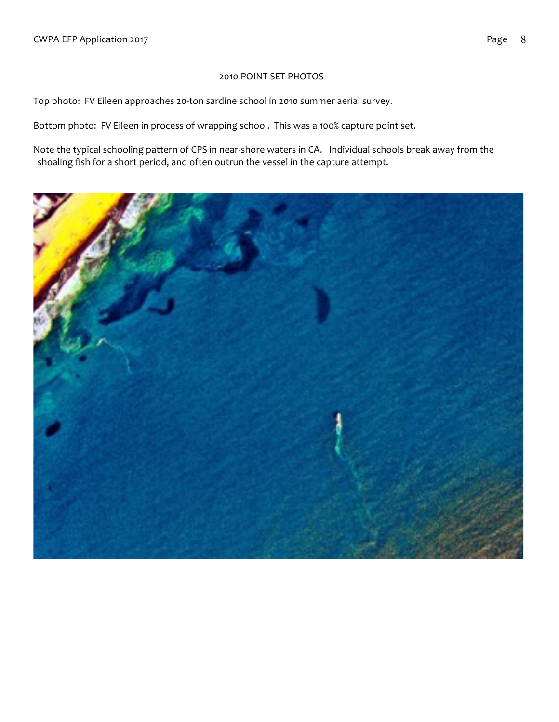## 2010 POINT SET PHOTOS

Top photo: FV Eileen approaches 20-ton sardine school in 2010 summer aerial survey.

Bottom photo: FV Eileen in process of wrapping school. This was a 100% capture point set.

Note the typical schooling pattern of CPS in near-shore waters in CA. Individual schools break away from the shoaling fish for a short period, and often outrun the vessel in the capture attempt.